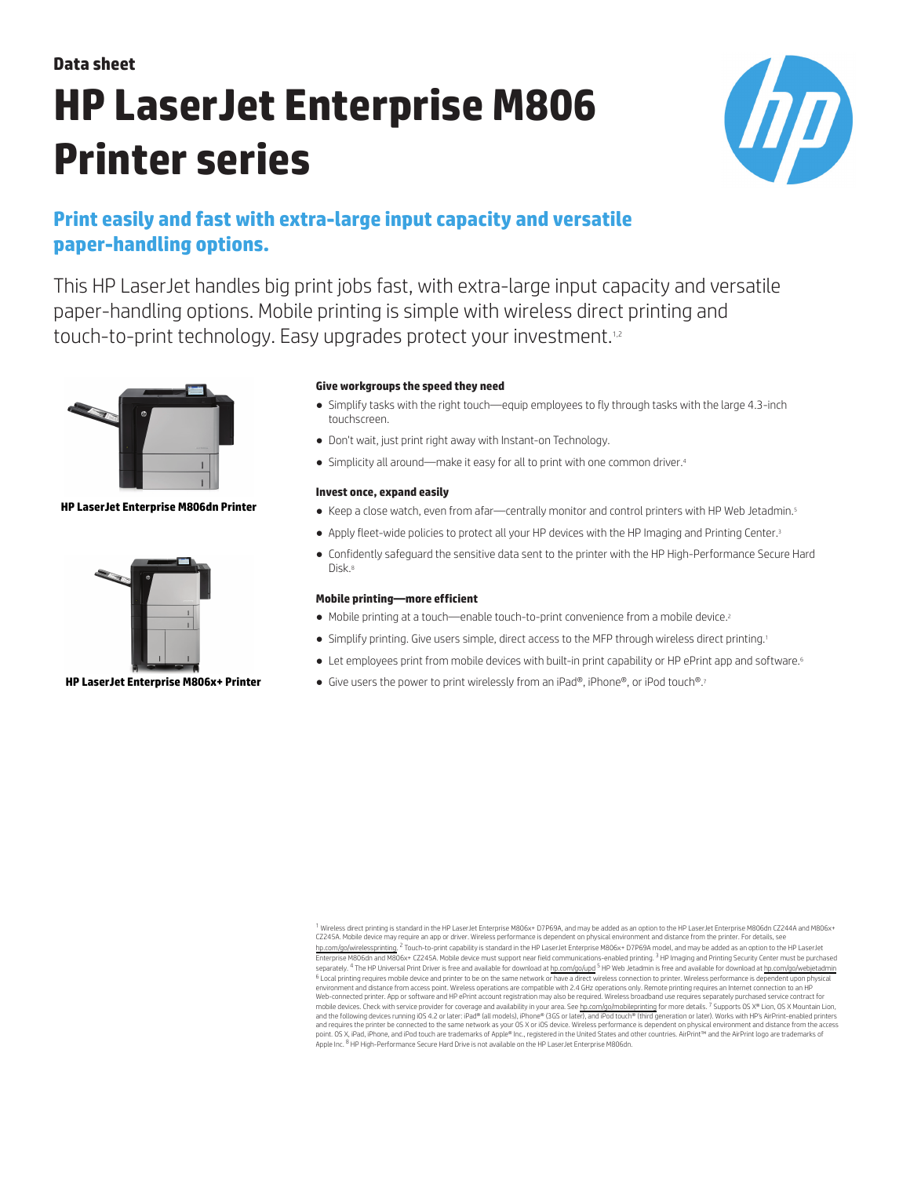# **Data sheet HP LaserJet Enterprise M806 Printer series**



## **Print easily and fast with extra-large input capacity and versatile paper-handling options.**

This HP LaserJet handles big print jobs fast, with extra-large input capacity and versatile paper-handling options. Mobile printing is simple with wireless direct printing and touch-to-print technology. Easy upgrades protect your investment.<sup>1,2</sup>



## **HP LaserJet Enterprise M806dn Printer**



## **HP LaserJet Enterprise M806x+ Printer**

## **Give workgroups the speed they need**

- Simplify tasks with the right touch—equip employees to fly through tasks with the large 4.3-inch touchscreen.
- Don't wait, just print right away with Instant-on Technology.
- Simplicity all around—make it easy for all to print with one common driver.<sup>4</sup>

## **Invest once, expand easily**

- Keep a close watch, even from afar—centrally monitor and control printers with HP Web Jetadmin.5
- Apply fleet-wide policies to protect all your HP devices with the HP Imaging and Printing Center.<sup>3</sup>
- Confidently safeguard the sensitive data sent to the printer with the HP High-Performance Secure Hard Disk<sup>8</sup>

## **Mobile printing—more efficient**

- Mobile printing at a touch—enable touch-to-print convenience from a mobile device.<sup>2</sup>
- Simplify printing. Give users simple, direct access to the MFP through wireless direct printing.<sup>1</sup>
- Let employees print from mobile devices with built-in print capability or HP ePrint app and software.<sup>6</sup>
- Give users the power to print wirelessly from an iPad®, iPhone®, or iPod touch®.7

<sup>1</sup> Wireless direct printing is standard in the HP LaserJet Enterprise M806x+ D7P69A, and may be added as an option to the HP LaserJet Enterprise M806dn CZ244A and M806x+ CZ245A. Mobile device may require an app or driver. Wireless performance is dependent on physical environment and distance from the printer. For details, see [hp.com/go/wirelessprinting.](http://hp.com/go/wirelessprinting) <sup>2</sup> Touch-to-print capability is standard in the HP LaserJet Enterprise M806x+ D7P69A model, and may be added as an option to the HP LaserJet Enterprise M806dn and M806x+ CZ245A. Mobile device must support near field communications-enabled printing. <sup>3</sup> HP Imaging and Printing Security Center must be purchased separately. <sup>4</sup> The HP Universal Print Driver is free and available for download at hp.com/go/wed is [hp.com/go/webjetadmin](http://hp.com/go/webjetadmin) is free and available for download at hp.com/go/webjetadmin <sup>6</sup> Local printing requires mobile device and printer to be on the same network or have a direct wireless onnection to printer. Wireless performance is dependent upon physical<br>environment and distance from access pomations mobile devices. Check with service provider for coverage and availability in your area. See [hp.com/go/mobileprinting](http://hp.com/go/mobileprinting) for more details. <sup>7</sup> Supports OS X® Lion, OS X Mountain Lion,<br>and the following devices running iOS 4.2 Apple Inc. 8 HP High-Performance Secure Hard Drive is not available on the HP LaserJet Enterprise M806dn.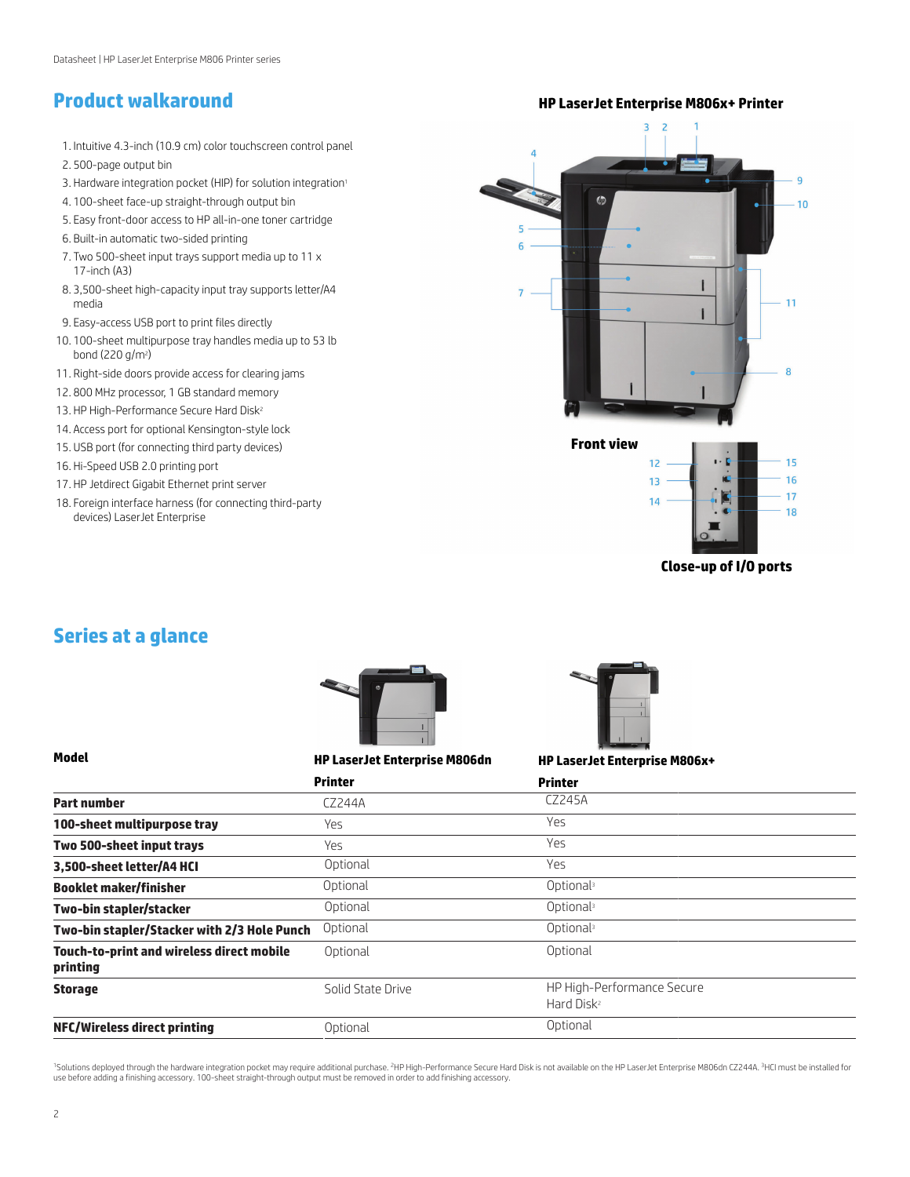- 1. Intuitive 4.3-inch (10.9 cm) color touchscreen control panel 2. 500-page output bin
- 3. Hardware integration pocket (HIP) for solution integration<sup>1</sup>
- 4. 100-sheet face-up straight-through output bin
- 5. Easy front-door access to HP all-in-one toner cartridge
- 6. Built-in automatic two-sided printing
- 7. Two 500-sheet input trays support media up to 11 x 17-inch (A3)
- 8. 3,500-sheet high-capacity input tray supports letter/A4 media
- 9. Easy-access USB port to print files directly
- 10. 100-sheet multipurpose tray handles media up to 53 lb bond (220 g/m²)
- 11. Right-side doors provide access for clearing jams
- 12. 800 MHz processor, 1 GB standard memory
- 13. HP High-Performance Secure Hard Disk<sup>2</sup>
- 14. Access port for optional Kensington-style lock
- 15. USB port (for connecting third party devices)
- 16. Hi-Speed USB 2.0 printing port
- 17. HP Jetdirect Gigabit Ethernet print server
- 18. Foreign interface harness (for connecting third-party devices) LaserJet Enterprise



**Close-up of I/O ports**

## **Series at a glance**



## **Model HP LaserJet Enterprise M806dn**



**HP LaserJet Enterprise M806x+**

|                                                              | <b>Printer</b>    | <b>Printer</b>                                       |
|--------------------------------------------------------------|-------------------|------------------------------------------------------|
| <b>Part number</b>                                           | CZ244A            | CZ245A                                               |
| 100-sheet multipurpose tray                                  | Yes               | <b>Yes</b>                                           |
| Two 500-sheet input trays                                    | Yes               | <b>Yes</b>                                           |
| 3,500-sheet letter/A4 HCI                                    | Optional          | <b>Yes</b>                                           |
| <b>Booklet maker/finisher</b>                                | Optional          | Optional                                             |
| Two-bin stapler/stacker                                      | Optional          | Optional <sup>3</sup>                                |
| Two-bin stapler/Stacker with 2/3 Hole Punch                  | Optional          | Optional <sup>3</sup>                                |
| <b>Touch-to-print and wireless direct mobile</b><br>printing | Optional          | Optional                                             |
| <b>Storage</b>                                               | Solid State Drive | HP High-Performance Secure<br>Hard Disk <sup>2</sup> |
| NFC/Wireless direct printing                                 | Optional          | Optional                                             |

<sup>1</sup>Solutions deployed through the hardware integration pocket may require additional purchase. <sup>2</sup>HP High-Performance Secure Hard Disk is not available on the HP LaserJet Enterprise M806dn CZ244A. <sup>3</sup>HCI must be installed for use before adding a finishing accessory. 100-sheet straight-through output must be removed in order to add finishing accessory.

**Product walkaround HP LaserJet Enterprise M806x+ Printer**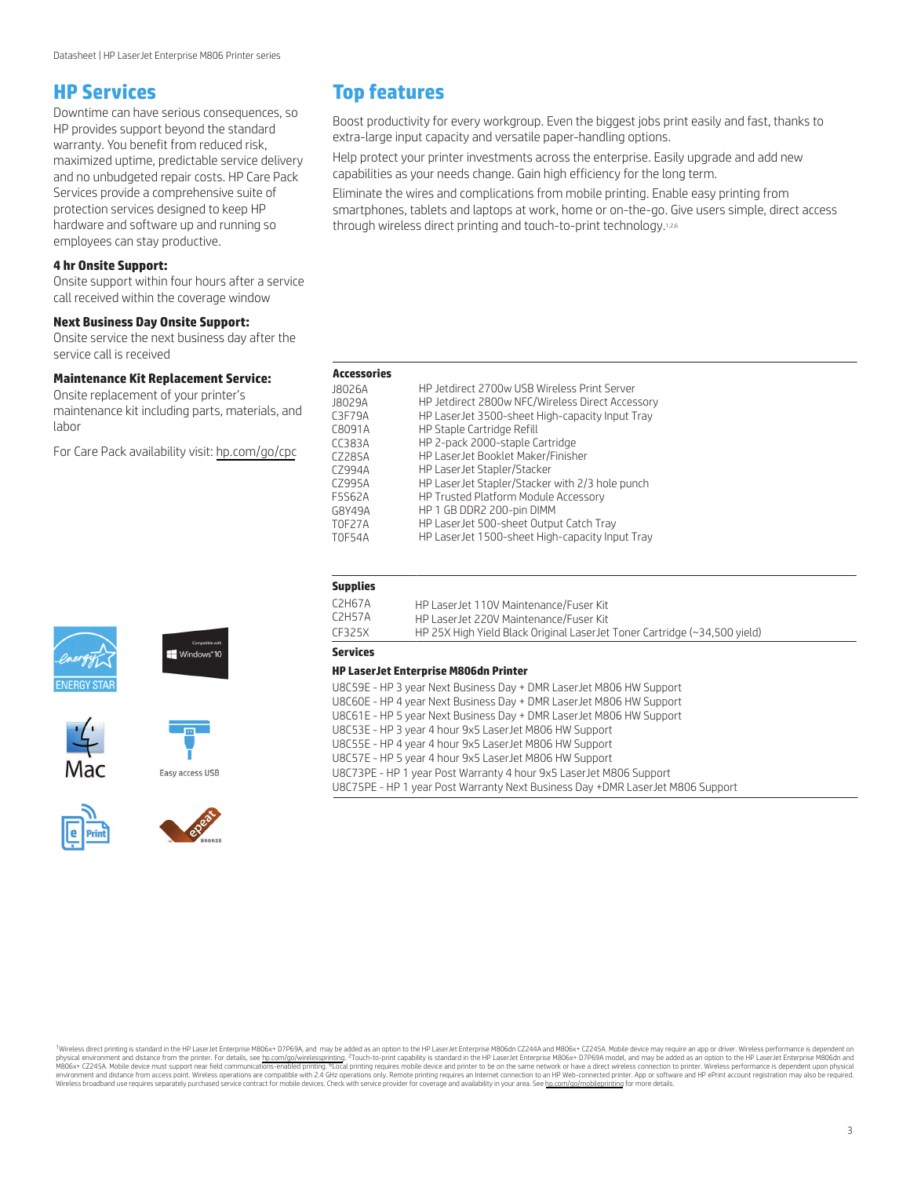## **HP Services**

Downtime can have serious consequences, so HP provides support beyond the standard warranty. You benefit from reduced risk, maximized uptime, predictable service delivery and no unbudgeted repair costs. HP Care Pack Services provide a comprehensive suite of protection services designed to keep HP hardware and software up and running so employees can stay productive.

## **4 hr Onsite Support:**

Onsite support within four hours after a service call received within the coverage window

## **Next Business Day Onsite Support:**

Onsite service the next business day after the service call is received

#### **Maintenance Kit Replacement Service:**

Onsite replacement of your printer's maintenance kit including parts, materials, and labor

For Care Pack availability visit: [hp.com/go/cpc](http://hp.com/go/cpc)













## **Top features**

Boost productivity for every workgroup. Even the biggest jobs print easily and fast, thanks to extra-large input capacity and versatile paper-handling options.

Help protect your printer investments across the enterprise. Easily upgrade and add new capabilities as your needs change. Gain high efficiency for the long term.

Eliminate the wires and complications from mobile printing. Enable easy printing from smartphones, tablets and laptops at work, home or on-the-go. Give users simple, direct access through wireless direct printing and touch-to-print technology.<sup>1,2,6</sup>

| HP Jetdirect 2700w USB Wireless Print Server     |
|--------------------------------------------------|
|                                                  |
| HP Jetdirect 2800w NFC/Wireless Direct Accessory |
| HP LaserJet 3500-sheet High-capacity Input Tray  |
| HP Staple Cartridge Refill                       |
| HP 2-pack 2000-staple Cartridge                  |
| HP LaserJet Booklet Maker/Finisher               |
| HP LaserJet Stapler/Stacker                      |
| HP LaserJet Stapler/Stacker with 2/3 hole punch  |
| HP Trusted Platform Module Accessory             |
| HP 1 GB DDR2 200-pin DIMM                        |
| HP LaserJet 500-sheet Output Catch Tray          |
| HP LaserJet 1500-sheet High-capacity Input Tray  |
|                                                  |

## **Supplies**

| C2H67A | HP LaserJet 110V Maintenance/Fuser Kit                                    |
|--------|---------------------------------------------------------------------------|
| C2H57A | HP LaserJet 220V Maintenance/Fuser Kit                                    |
| CE325X | HP 25X High Yield Black Original LaserJet Toner Cartridge (~34,500 yield) |

## **Services**

## **HP LaserJet Enterprise M806dn Printer**

| U8C59E - HP 3 year Next Business Day + DMR LaserJet M806 HW Support            |
|--------------------------------------------------------------------------------|
| U8C60E - HP 4 year Next Business Day + DMR LaserJet M806 HW Support            |
| U8C61E - HP 5 year Next Business Day + DMR LaserJet M806 HW Support            |
| U8C53E - HP 3 year 4 hour 9x5 LaserJet M806 HW Support                         |
| U8C55E - HP 4 year 4 hour 9x5 LaserJet M806 HW Support                         |
| U8C57E - HP 5 year 4 hour 9x5 LaserJet M806 HW Support                         |
| U8C73PE - HP 1 year Post Warranty 4 hour 9x5 LaserJet M806 Support             |
| U8C75PE - HP 1 year Post Warranty Next Business Day +DMR LaserJet M806 Support |
|                                                                                |

<sup>1</sup>Wireless direct printing is standard in the HP LaserJet Enterprise M806x+ D7P69A, and may be added as an option to the HP LaserJet Enterprise M806dn CZ244A and M806x+ CZ245A. Mobile device may require an app or driver. physical environment and distance from the printer. For details, see [hp.com/go/wirelessprinting](http://hp.com/go/wirelessprinting). <sup>2</sup>Touch-to-print capability is standard in the HP LaserJet Enterprise M806x+ CD769A model, and may be added as an option to